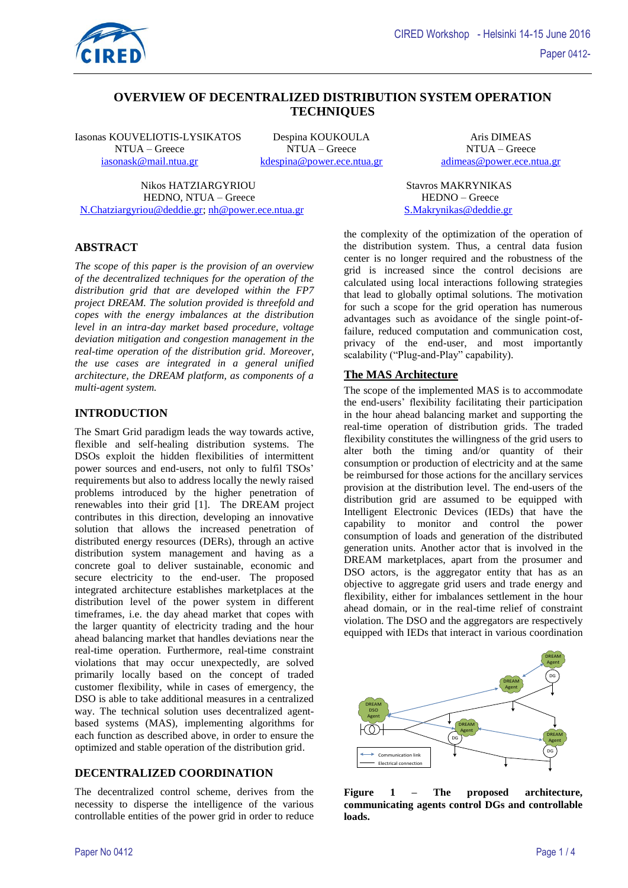

# **OVERVIEW OF DECENTRALIZED DISTRIBUTION SYSTEM OPERATION TECHNIQUES**

Iasonas KOUVELIOTIS-LYSIKATOS Despina KOUKOULA Aris DIMEAS NTUA – Greece NTUA – Greece NTUA – Greece [iasonask@mail.ntua.gr](mailto:iasonask@mail.ntua.gr) [kdespina@power.ece.ntua.gr](mailto:kdespina@power.ece.ntua.gr) [adimeas@power.ece.ntua.gr](mailto:adimeas@power.ece.ntua.gr)

 Nikos HATZIARGYRIOU Stavros MAKRYNIKAS HEDNO, NTUA – Greece HEDNO – Greece [N.Chatziargyriou@deddie.gr;](mailto:N.Chatziargyriou@deddie.gr) [nh@power.ece.ntua.gr](mailto:nh@power.ece.ntua.gr) [S.Makrynikas@deddie.gr](mailto:S.Makrynikas@deddie.gr)

# **ABSTRACT**

*The scope of this paper is the provision of an overview of the decentralized techniques for the operation of the distribution grid that are developed within the FP7 project DREAM. The solution provided is threefold and copes with the energy imbalances at the distribution level in an intra-day market based procedure, voltage deviation mitigation and congestion management in the real-time operation of the distribution grid. Moreover, the use cases are integrated in a general unified architecture, the DREAM platform, as components of a multi-agent system.*

## **INTRODUCTION**

The Smart Grid paradigm leads the way towards active, flexible and self-healing distribution systems. The DSOs exploit the hidden flexibilities of intermittent power sources and end-users, not only to fulfil TSOs' requirements but also to address locally the newly raised problems introduced by the higher penetration of renewables into their grid [1]. The DREAM project contributes in this direction, developing an innovative solution that allows the increased penetration of distributed energy resources (DERs), through an active distribution system management and having as a concrete goal to deliver sustainable, economic and secure electricity to the end-user. The proposed integrated architecture establishes marketplaces at the distribution level of the power system in different timeframes, i.e. the day ahead market that copes with the larger quantity of electricity trading and the hour ahead balancing market that handles deviations near the real-time operation. Furthermore, real-time constraint violations that may occur unexpectedly, are solved primarily locally based on the concept of traded customer flexibility, while in cases of emergency, the DSO is able to take additional measures in a centralized way. The technical solution uses decentralized agentbased systems (MAS), implementing algorithms for each function as described above, in order to ensure the optimized and stable operation of the distribution grid.

## **DECENTRALIZED COORDINATION**

The decentralized control scheme, derives from the necessity to disperse the intelligence of the various controllable entities of the power grid in order to reduce the complexity of the optimization of the operation of the distribution system. Thus, a central data fusion center is no longer required and the robustness of the grid is increased since the control decisions are calculated using local interactions following strategies that lead to globally optimal solutions. The motivation for such a scope for the grid operation has numerous advantages such as avoidance of the single point-offailure, reduced computation and communication cost, privacy of the end-user, and most importantly scalability ("Plug-and-Play" capability).

## **The MAS Architecture**

The scope of the implemented MAS is to accommodate the end-users' flexibility facilitating their participation in the hour ahead balancing market and supporting the real-time operation of distribution grids. The traded flexibility constitutes the willingness of the grid users to alter both the timing and/or quantity of their consumption or production of electricity and at the same be reimbursed for those actions for the ancillary services provision at the distribution level. The end-users of the distribution grid are assumed to be equipped with Intelligent Electronic Devices (IEDs) that have the capability to monitor and control the power consumption of loads and generation of the distributed generation units. Another actor that is involved in the DREAM marketplaces, apart from the prosumer and DSO actors, is the aggregator entity that has as an objective to aggregate grid users and trade energy and flexibility, either for imbalances settlement in the hour ahead domain, or in the real-time relief of constraint violation. The DSO and the aggregators are respectively equipped with IEDs that interact in various coordination



**Figure 1 – The proposed architecture, communicating agents control DGs and controllable loads.**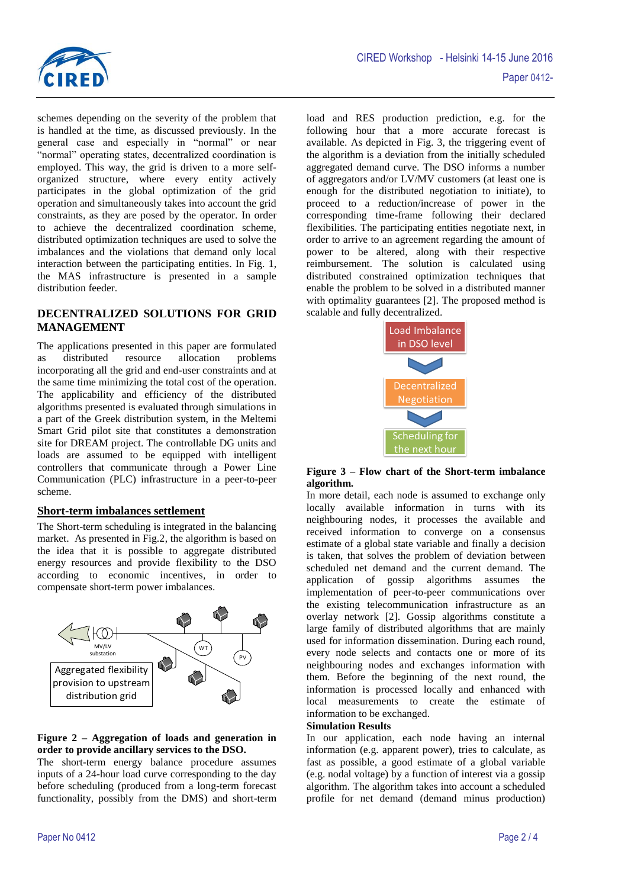

schemes depending on the severity of the problem that is handled at the time, as discussed previously. In the general case and especially in "normal" or near "normal" operating states, decentralized coordination is employed. This way, the grid is driven to a more selforganized structure, where every entity actively participates in the global optimization of the grid operation and simultaneously takes into account the grid constraints, as they are posed by the operator. In order to achieve the decentralized coordination scheme, distributed optimization techniques are used to solve the imbalances and the violations that demand only local interaction between the participating entities. In Fig. 1, the MAS infrastructure is presented in a sample distribution feeder

## **DECENTRALIZED SOLUTIONS FOR GRID MANAGEMENT**

The applications presented in this paper are formulated as distributed resource allocation problems incorporating all the grid and end-user constraints and at the same time minimizing the total cost of the operation. The applicability and efficiency of the distributed algorithms presented is evaluated through simulations in a part of the Greek distribution system, in the Meltemi Smart Grid pilot site that constitutes a demonstration site for DREAM project. The controllable DG units and loads are assumed to be equipped with intelligent controllers that communicate through a Power Line Communication (PLC) infrastructure in a peer-to-peer scheme.

#### **Short-term imbalances settlement**

The Short-term scheduling is integrated in the balancing market. As presented in Fig.2, the algorithm is based on the idea that it is possible to aggregate distributed energy resources and provide flexibility to the DSO according to economic incentives, in order to compensate short-term power imbalances.



#### **Figure 2 – Aggregation of loads and generation in order to provide ancillary services to the DSO.**

The short-term energy balance procedure assumes inputs of a 24-hour load curve corresponding to the day before scheduling (produced from a long-term forecast functionality, possibly from the DMS) and short-term

load and RES production prediction, e.g. for the following hour that a more accurate forecast is available. As depicted in Fig. 3, the triggering event of the algorithm is a deviation from the initially scheduled aggregated demand curve. The DSO informs a number of aggregators and/or LV/MV customers (at least one is enough for the distributed negotiation to initiate), to proceed to a reduction/increase of power in the corresponding time-frame following their declared flexibilities. The participating entities negotiate next, in order to arrive to an agreement regarding the amount of power to be altered, along with their respective reimbursement. The solution is calculated using distributed constrained optimization techniques that enable the problem to be solved in a distributed manner with optimality guarantees [2]. The proposed method is scalable and fully decentralized.



**Figure 3 – Flow chart of the Short-term imbalance algorithm.**

In more detail, each node is assumed to exchange only locally available information in turns with its neighbouring nodes, it processes the available and received information to converge on a consensus estimate of a global state variable and finally a decision is taken, that solves the problem of deviation between scheduled net demand and the current demand. The application of gossip algorithms assumes the implementation of peer-to-peer communications over the existing telecommunication infrastructure as an overlay network [2]. Gossip algorithms constitute a large family of distributed algorithms that are mainly used for information dissemination. During each round, every node selects and contacts one or more of its neighbouring nodes and exchanges information with them. Before the beginning of the next round, the information is processed locally and enhanced with local measurements to create the estimate of information to be exchanged.

#### **Simulation Results**

In our application, each node having an internal information (e.g. apparent power), tries to calculate, as fast as possible, a good estimate of a global variable (e.g. nodal voltage) by a function of interest via a gossip algorithm. The algorithm takes into account a scheduled profile for net demand (demand minus production)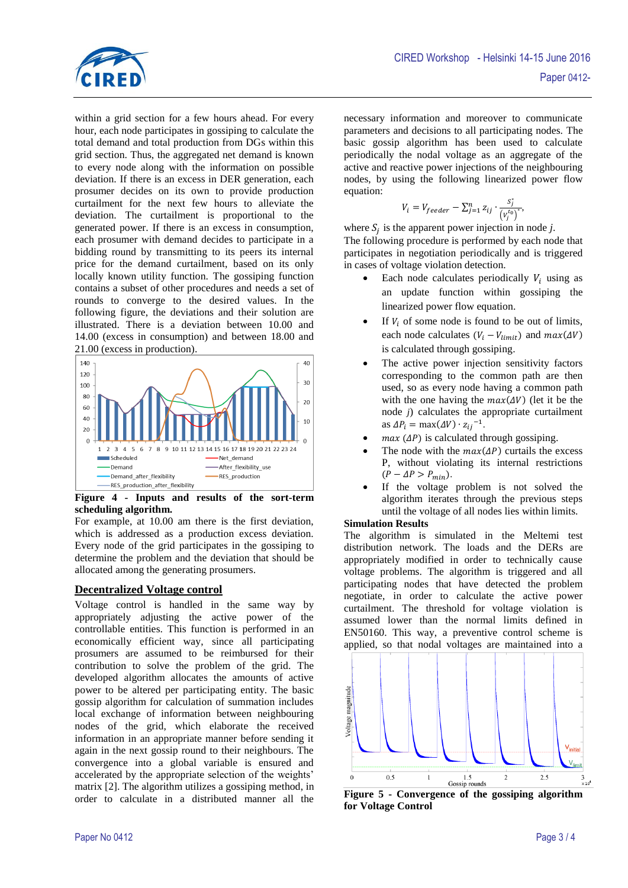

within a grid section for a few hours ahead. For every hour, each node participates in gossiping to calculate the total demand and total production from DGs within this grid section. Thus, the aggregated net demand is known to every node along with the information on possible deviation. If there is an excess in DER generation, each prosumer decides on its own to provide production curtailment for the next few hours to alleviate the deviation. The curtailment is proportional to the generated power. If there is an excess in consumption, each prosumer with demand decides to participate in a bidding round by transmitting to its peers its internal price for the demand curtailment, based on its only locally known utility function. The gossiping function contains a subset of other procedures and needs a set of rounds to converge to the desired values. In the following figure, the deviations and their solution are illustrated. There is a deviation between 10.00 and 14.00 (excess in consumption) and between 18.00 and 21.00 (excess in production).



**Figure 4 - Inputs and results of the sort-term scheduling algorithm.**

For example, at 10.00 am there is the first deviation, which is addressed as a production excess deviation. Every node of the grid participates in the gossiping to determine the problem and the deviation that should be allocated among the generating prosumers.

## **Decentralized Voltage control**

Voltage control is handled in the same way by appropriately adjusting the active power of the controllable entities. This function is performed in an economically efficient way, since all participating prosumers are assumed to be reimbursed for their contribution to solve the problem of the grid. The developed algorithm allocates the amounts of active power to be altered per participating entity. The basic gossip algorithm for calculation of summation includes local exchange of information between neighbouring nodes of the grid, which elaborate the received information in an appropriate manner before sending it again in the next gossip round to their neighbours. The convergence into a global variable is ensured and accelerated by the appropriate selection of the weights' matrix [2]. The algorithm utilizes a gossiping method, in order to calculate in a distributed manner all the

necessary information and moreover to communicate parameters and decisions to all participating nodes. The basic gossip algorithm has been used to calculate periodically the nodal voltage as an aggregate of the active and reactive power injections of the neighbouring nodes, by using the following linearized power flow equation:

$$
V_i = V_{feeder} - \sum_{j=1}^{n} z_{ij} \cdot \frac{s_j^*}{(v_j^{t_0})^*},
$$

where  $S_j$  is the apparent power injection in node *j*. The following procedure is performed by each node that participates in negotiation periodically and is triggered in cases of voltage violation detection.

- Each node calculates periodically  $V_i$  using as an update function within gossiping the linearized power flow equation.
- If  $V_i$  of some node is found to be out of limits, each node calculates  $(V_i - V_{limit})$  and  $max(\Delta V)$ is calculated through gossiping.
- The active power injection sensitivity factors corresponding to the common path are then used, so as every node having a common path with the one having the  $max(\Delta V)$  (let it be the node *j*) calculates the appropriate curtailment as  $\Delta P_i = \max(\Delta V) \cdot z_{ij}^{-1}$ .
- $max(\Delta P)$  is calculated through gossiping.
- The node with the  $max(\Delta P)$  curtails the excess P, without violating its internal restrictions  $(P - \Delta P > P_{min}).$
- If the voltage problem is not solved the algorithm iterates through the previous steps until the voltage of all nodes lies within limits.

#### **Simulation Results**

The algorithm is simulated in the Meltemi test distribution network. The loads and the DERs are appropriately modified in order to technically cause voltage problems. The algorithm is triggered and all participating nodes that have detected the problem negotiate, in order to calculate the active power curtailment. The threshold for voltage violation is assumed lower than the normal limits defined in EN50160. This way, a preventive control scheme is applied, so that nodal voltages are maintained into a



**Figure 5 - Convergence of the gossiping algorithm for Voltage Control**